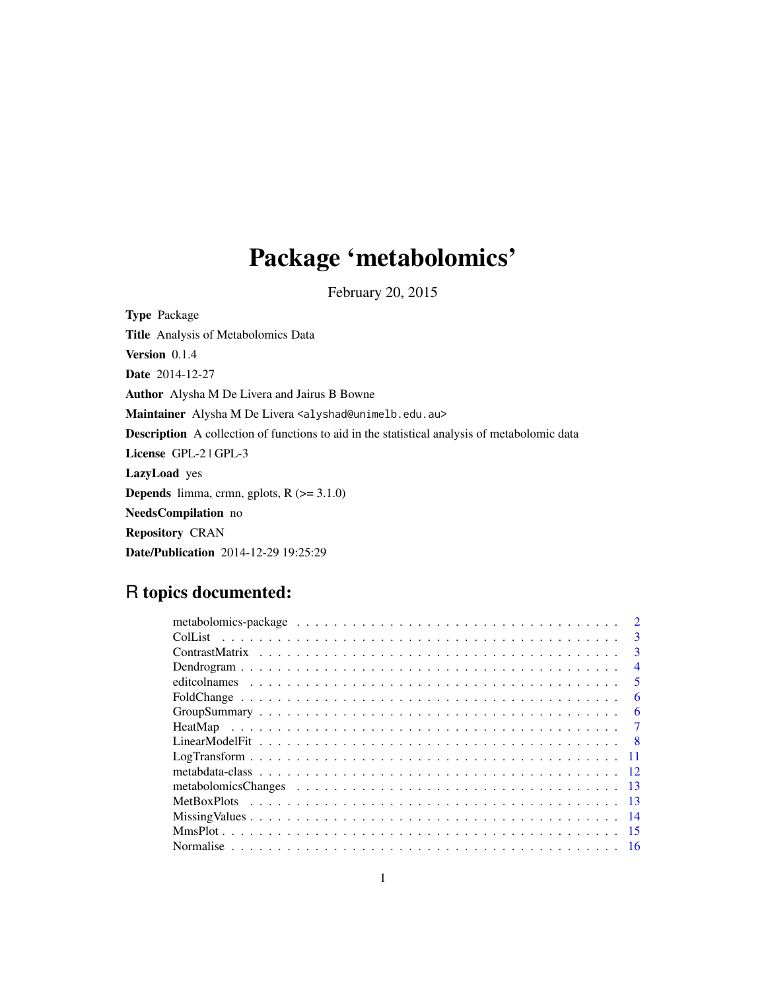## Package 'metabolomics'

February 20, 2015

<span id="page-0-0"></span>Type Package Title Analysis of Metabolomics Data Version 0.1.4 Date 2014-12-27 Author Alysha M De Livera and Jairus B Bowne Maintainer Alysha M De Livera <alyshad@unimelb.edu.au> Description A collection of functions to aid in the statistical analysis of metabolomic data License GPL-2 | GPL-3 LazyLoad yes **Depends** limma, crmn, gplots,  $R$  ( $>= 3.1.0$ ) NeedsCompilation no Repository CRAN Date/Publication 2014-12-29 19:25:29

## R topics documented:

|     | $\mathcal{D}$           |
|-----|-------------------------|
|     | $\mathbf{3}$            |
|     | 3                       |
|     | $\overline{4}$          |
|     | $\overline{\mathbf{5}}$ |
|     | 6                       |
|     | 6                       |
|     |                         |
|     |                         |
|     |                         |
|     |                         |
| -13 |                         |
|     |                         |
|     |                         |
| -15 |                         |
|     |                         |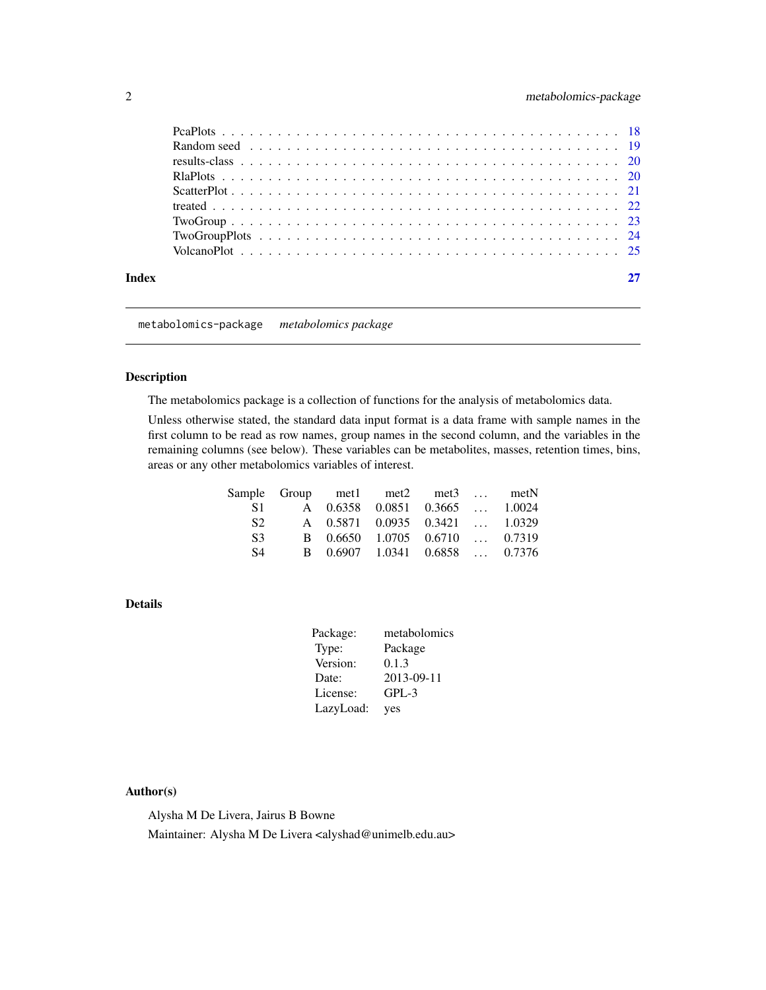<span id="page-1-0"></span>

| Index |  |
|-------|--|

metabolomics-package *metabolomics package*

#### <span id="page-1-1"></span>Description

The metabolomics package is a collection of functions for the analysis of metabolomics data.

Unless otherwise stated, the standard data input format is a data frame with sample names in the first column to be read as row names, group names in the second column, and the variables in the remaining columns (see below). These variables can be metabolites, masses, retention times, bins, areas or any other metabolomics variables of interest.

|                | Sample Group met1 met2 met3  metN |  |  |
|----------------|-----------------------------------|--|--|
| S1.            | A 0.6358 0.0851 0.3665  1.0024    |  |  |
| S2.            | A 0.5871 0.0935 0.3421  1.0329    |  |  |
| S <sup>3</sup> | B 0.6650 1.0705 0.6710  0.7319    |  |  |
| S4             | B 0.6907 1.0341 0.6858  0.7376    |  |  |

## Details

| Package:  | metabolomics |
|-----------|--------------|
| Type:     | Package      |
| Version:  | 0.1.3        |
| Date:     | 2013-09-11   |
| License:  | $GPL-3$      |
| LazyLoad: | yes          |

## Author(s)

Alysha M De Livera, Jairus B Bowne

Maintainer: Alysha M De Livera <alyshad@unimelb.edu.au>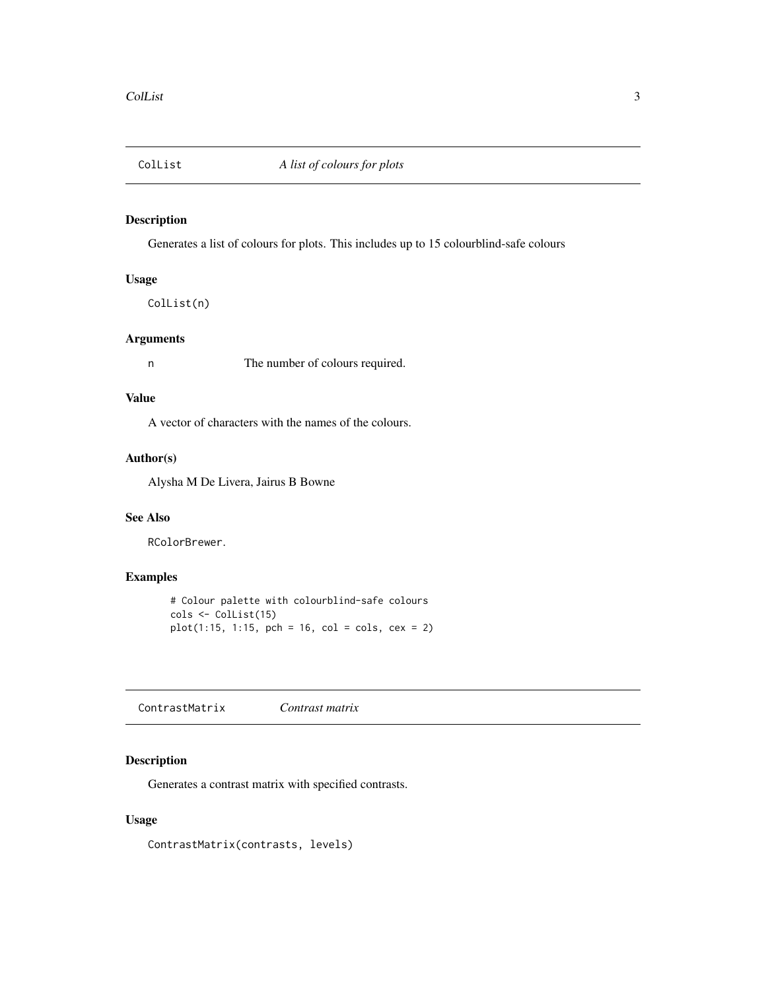<span id="page-2-0"></span>

## Description

Generates a list of colours for plots. This includes up to 15 colourblind-safe colours

## Usage

ColList(n)

#### Arguments

n The number of colours required.

#### Value

A vector of characters with the names of the colours.

#### Author(s)

Alysha M De Livera, Jairus B Bowne

#### See Also

RColorBrewer.

## Examples

# Colour palette with colourblind-safe colours cols <- ColList(15) plot(1:15, 1:15, pch = 16, col = cols, cex = 2)

<span id="page-2-1"></span>ContrastMatrix *Contrast matrix*

## Description

Generates a contrast matrix with specified contrasts.

## Usage

ContrastMatrix(contrasts, levels)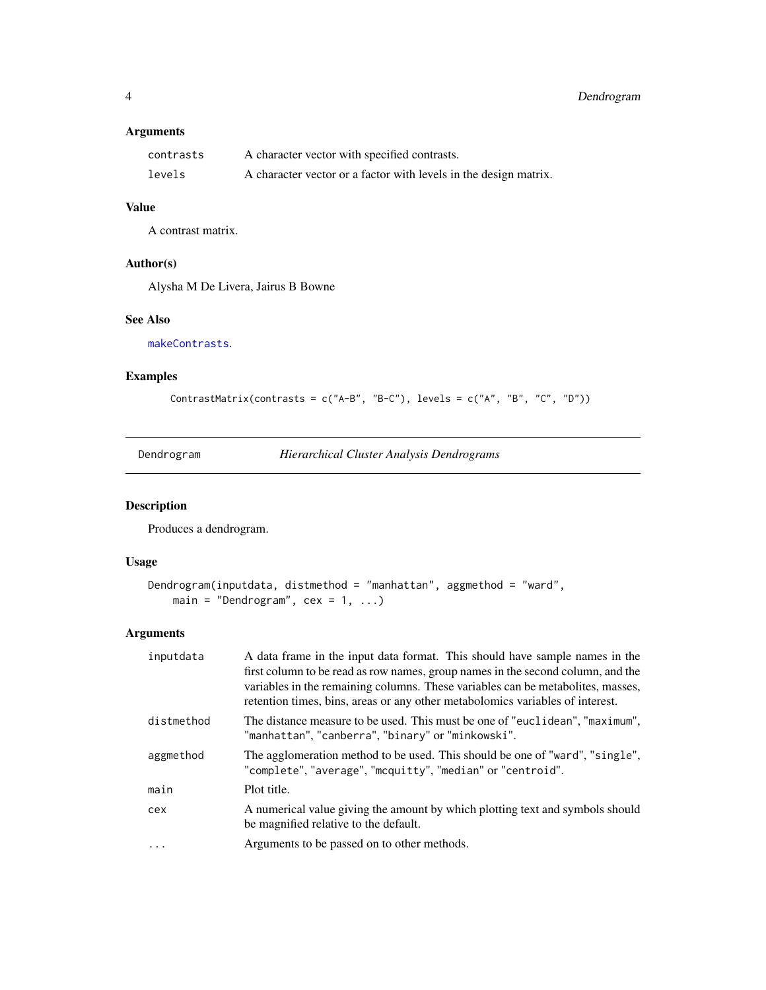## <span id="page-3-0"></span>Arguments

| contrasts | A character vector with specified contrasts.                     |
|-----------|------------------------------------------------------------------|
| levels    | A character vector or a factor with levels in the design matrix. |

## Value

A contrast matrix.

## Author(s)

Alysha M De Livera, Jairus B Bowne

### See Also

[makeContrasts](#page-0-0).

## Examples

ContrastMatrix(contrasts = c("A-B", "B-C"), levels = c("A", "B", "C", "D"))

Dendrogram *Hierarchical Cluster Analysis Dendrograms*

## Description

Produces a dendrogram.

## Usage

```
Dendrogram(inputdata, distmethod = "manhattan", aggmethod = "ward",
   main = "Dendrogram", cex = 1, ...)
```

| inputdata  | A data frame in the input data format. This should have sample names in the<br>first column to be read as row names, group names in the second column, and the<br>variables in the remaining columns. These variables can be metabolities, masses,<br>retention times, bins, areas or any other metabolomics variables of interest. |
|------------|-------------------------------------------------------------------------------------------------------------------------------------------------------------------------------------------------------------------------------------------------------------------------------------------------------------------------------------|
| distmethod | The distance measure to be used. This must be one of "euclidean", "maximum",<br>"manhattan","canberra","binary" or"minkowski".                                                                                                                                                                                                      |
| aggmethod  | The agglomeration method to be used. This should be one of "ward", "single",<br>"complete", "average", "mcquitty", "median" or "centroid".                                                                                                                                                                                          |
| main       | Plot title.                                                                                                                                                                                                                                                                                                                         |
| cex        | A numerical value giving the amount by which plotting text and symbols should<br>be magnified relative to the default.                                                                                                                                                                                                              |
| $\ddots$   | Arguments to be passed on to other methods.                                                                                                                                                                                                                                                                                         |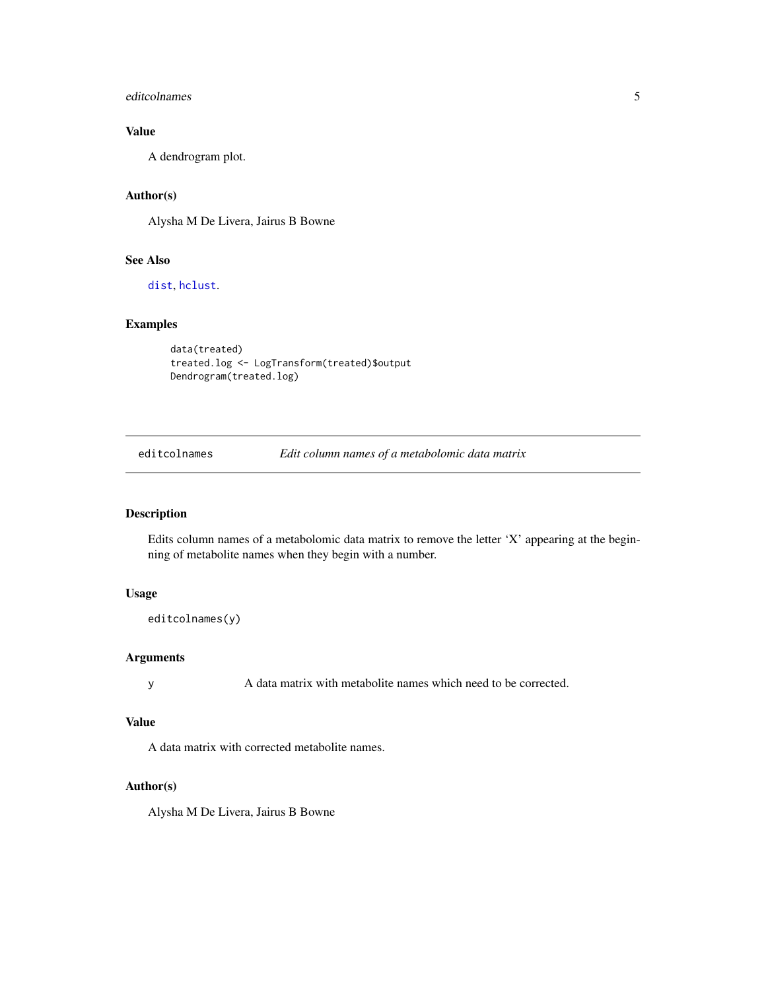#### <span id="page-4-0"></span>editcolnames 5

## Value

A dendrogram plot.

## Author(s)

Alysha M De Livera, Jairus B Bowne

## See Also

[dist](#page-0-0), [hclust](#page-0-0).

## Examples

```
data(treated)
treated.log <- LogTransform(treated)$output
Dendrogram(treated.log)
```
editcolnames *Edit column names of a metabolomic data matrix*

## Description

Edits column names of a metabolomic data matrix to remove the letter 'X' appearing at the beginning of metabolite names when they begin with a number.

## Usage

```
editcolnames(y)
```
## Arguments

y A data matrix with metabolite names which need to be corrected.

#### Value

A data matrix with corrected metabolite names.

## Author(s)

Alysha M De Livera, Jairus B Bowne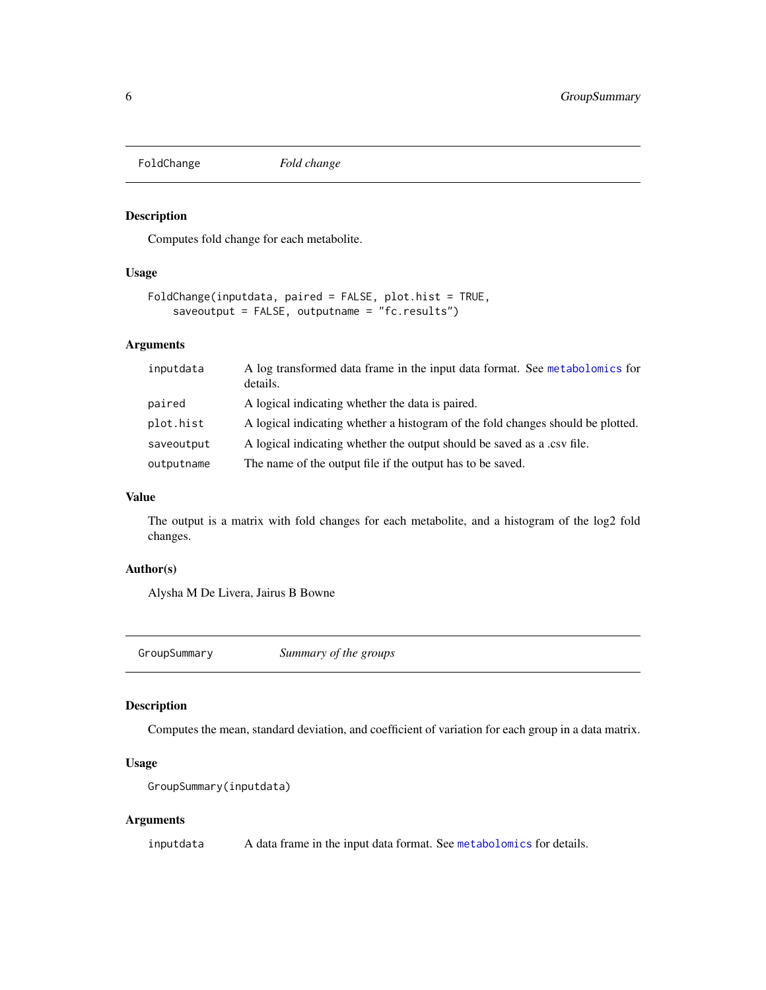<span id="page-5-0"></span>FoldChange *Fold change*

## Description

Computes fold change for each metabolite.

### Usage

```
FoldChange(inputdata, paired = FALSE, plot.hist = TRUE,
    saveoutput = FALSE, outputname = "fc.results")
```
## Arguments

| inputdata  | A log transformed data frame in the input data format. See metabolomics for<br>details. |
|------------|-----------------------------------------------------------------------------------------|
| paired     | A logical indicating whether the data is paired.                                        |
| plot.hist  | A logical indicating whether a histogram of the fold changes should be plotted.         |
| saveoutput | A logical indicating whether the output should be saved as a .csv file.                 |
| outputname | The name of the output file if the output has to be saved.                              |

### Value

The output is a matrix with fold changes for each metabolite, and a histogram of the log2 fold changes.

## Author(s)

Alysha M De Livera, Jairus B Bowne

GroupSummary *Summary of the groups*

## Description

Computes the mean, standard deviation, and coefficient of variation for each group in a data matrix.

## Usage

```
GroupSummary(inputdata)
```
## Arguments

inputdata A data frame in the input data format. See [metabolomics](#page-1-1) for details.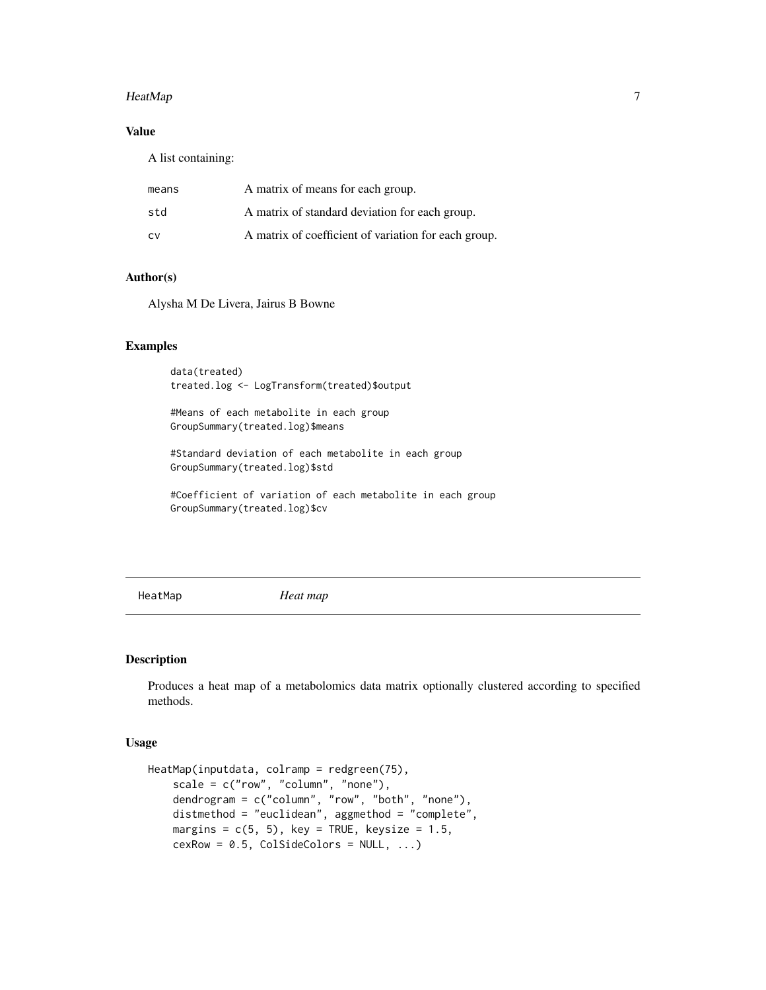#### <span id="page-6-0"></span>HeatMap 7

## Value

A list containing:

| means | A matrix of means for each group.                    |
|-------|------------------------------------------------------|
| std   | A matrix of standard deviation for each group.       |
| C٧    | A matrix of coefficient of variation for each group. |

#### Author(s)

Alysha M De Livera, Jairus B Bowne

#### Examples

data(treated) treated.log <- LogTransform(treated)\$output

#Means of each metabolite in each group GroupSummary(treated.log)\$means

#Standard deviation of each metabolite in each group GroupSummary(treated.log)\$std

#Coefficient of variation of each metabolite in each group GroupSummary(treated.log)\$cv

HeatMap *Heat map*

## Description

Produces a heat map of a metabolomics data matrix optionally clustered according to specified methods.

## Usage

```
HeatMap(inputdata, colramp = redgreen(75),
   scale = c("row", "column", "none"),
   dendrogram = c("column", "row", "both", "none"),
   distmethod = "euclidean", aggmethod = "complete",
   margins = c(5, 5), key = TRUE, keysize = 1.5,
   cexRow = 0.5, ColSideColors = NULL, ...)
```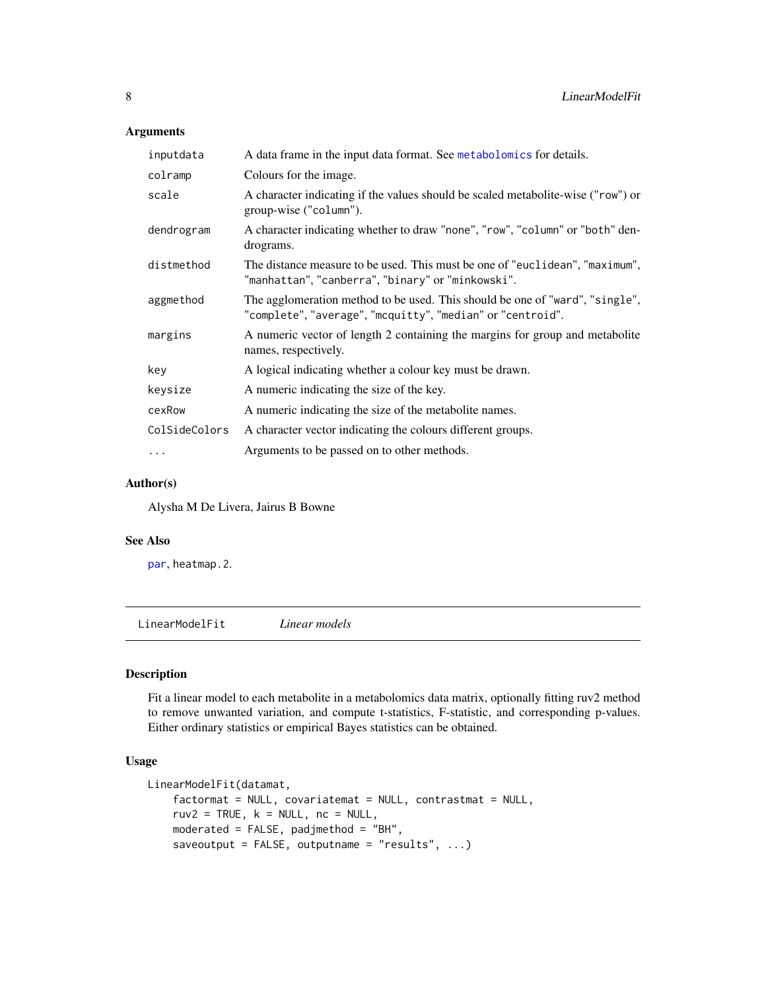## <span id="page-7-0"></span>Arguments

| inputdata     | A data frame in the input data format. See metabolomics for details.                                                                       |
|---------------|--------------------------------------------------------------------------------------------------------------------------------------------|
| colramp       | Colours for the image.                                                                                                                     |
| scale         | A character indicating if the values should be scaled metabolite-wise ("row") or<br>group-wise ("column").                                 |
| dendrogram    | A character indicating whether to draw "none", "row", "column" or "both" den-<br>drograms.                                                 |
| distmethod    | The distance measure to be used. This must be one of "euclidean", "maximum",<br>"manhattan","canberra","binary" or"minkowski".             |
| aggmethod     | The agglomeration method to be used. This should be one of "ward", "single",<br>"complete", "average", "mcquitty", "median" or "centroid". |
| margins       | A numeric vector of length 2 containing the margins for group and metabolite<br>names, respectively.                                       |
| key           | A logical indicating whether a colour key must be drawn.                                                                                   |
| keysize       | A numeric indicating the size of the key.                                                                                                  |
| cexRow        | A numeric indicating the size of the metabolite names.                                                                                     |
| ColSideColors | A character vector indicating the colours different groups.                                                                                |
| $\cdots$      | Arguments to be passed on to other methods.                                                                                                |

## Author(s)

Alysha M De Livera, Jairus B Bowne

#### See Also

[par](#page-0-0), heatmap.2.

<span id="page-7-1"></span>LinearModelFit *Linear models*

## Description

Fit a linear model to each metabolite in a metabolomics data matrix, optionally fitting ruv2 method to remove unwanted variation, and compute t-statistics, F-statistic, and corresponding p-values. Either ordinary statistics or empirical Bayes statistics can be obtained.

#### Usage

```
LinearModelFit(datamat,
    factormat = NULL, covariatemat = NULL, contrastmat = NULL,
    ruv2 = TRUE, k = NULL, nc = NULL,moderated = FALSE, padjmethod = "BH",
    saveoutput = FALSE, outputname = "results", ...)
```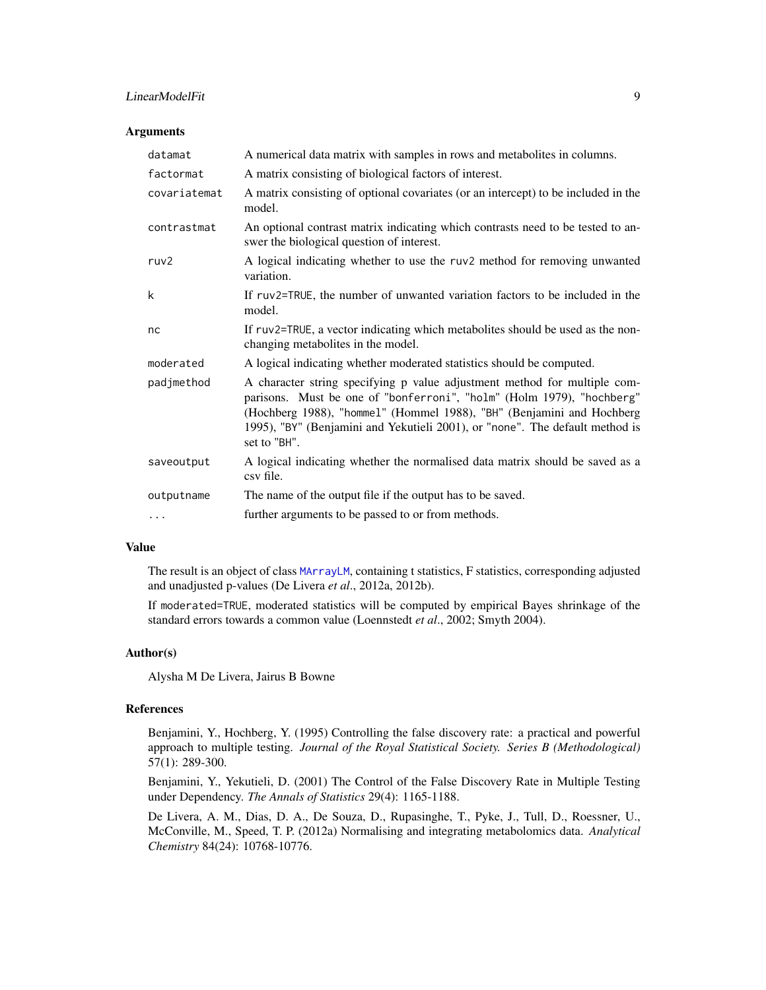## <span id="page-8-0"></span>LinearModelFit 9

#### **Arguments**

| datamat          | A numerical data matrix with samples in rows and metabolites in columns.                                                                                                                                                                                                                                                    |
|------------------|-----------------------------------------------------------------------------------------------------------------------------------------------------------------------------------------------------------------------------------------------------------------------------------------------------------------------------|
| factormat        | A matrix consisting of biological factors of interest.                                                                                                                                                                                                                                                                      |
| covariatemat     | A matrix consisting of optional covariates (or an intercept) to be included in the<br>model.                                                                                                                                                                                                                                |
| contrastmat      | An optional contrast matrix indicating which contrasts need to be tested to an-<br>swer the biological question of interest.                                                                                                                                                                                                |
| ruv <sub>2</sub> | A logical indicating whether to use the ruv2 method for removing unwanted<br>variation.                                                                                                                                                                                                                                     |
| k                | If ruv2=TRUE, the number of unwanted variation factors to be included in the<br>model.                                                                                                                                                                                                                                      |
| nc               | If ruv2=TRUE, a vector indicating which metabolites should be used as the non-<br>changing metabolites in the model.                                                                                                                                                                                                        |
| moderated        | A logical indicating whether moderated statistics should be computed.                                                                                                                                                                                                                                                       |
| padjmethod       | A character string specifying p value adjustment method for multiple com-<br>parisons. Must be one of "bonferroni", "holm" (Holm 1979), "hochberg"<br>(Hochberg 1988), "hommel" (Hommel 1988), "BH" (Benjamini and Hochberg<br>1995), "BY" (Benjamini and Yekutieli 2001), or "none". The default method is<br>set to "BH". |
| saveoutput       | A logical indicating whether the normalised data matrix should be saved as a<br>csy file.                                                                                                                                                                                                                                   |
| outputname       | The name of the output file if the output has to be saved.                                                                                                                                                                                                                                                                  |
| $\cdots$         | further arguments to be passed to or from methods.                                                                                                                                                                                                                                                                          |

#### Value

The result is an object of class [MArrayLM](#page-0-0), containing t statistics, F statistics, corresponding adjusted and unadjusted p-values (De Livera *et al*., 2012a, 2012b).

If moderated=TRUE, moderated statistics will be computed by empirical Bayes shrinkage of the standard errors towards a common value (Loennstedt *et al*., 2002; Smyth 2004).

#### Author(s)

Alysha M De Livera, Jairus B Bowne

#### References

Benjamini, Y., Hochberg, Y. (1995) Controlling the false discovery rate: a practical and powerful approach to multiple testing. *Journal of the Royal Statistical Society. Series B (Methodological)* 57(1): 289-300.

Benjamini, Y., Yekutieli, D. (2001) The Control of the False Discovery Rate in Multiple Testing under Dependency. *The Annals of Statistics* 29(4): 1165-1188.

De Livera, A. M., Dias, D. A., De Souza, D., Rupasinghe, T., Pyke, J., Tull, D., Roessner, U., McConville, M., Speed, T. P. (2012a) Normalising and integrating metabolomics data. *Analytical Chemistry* 84(24): 10768-10776.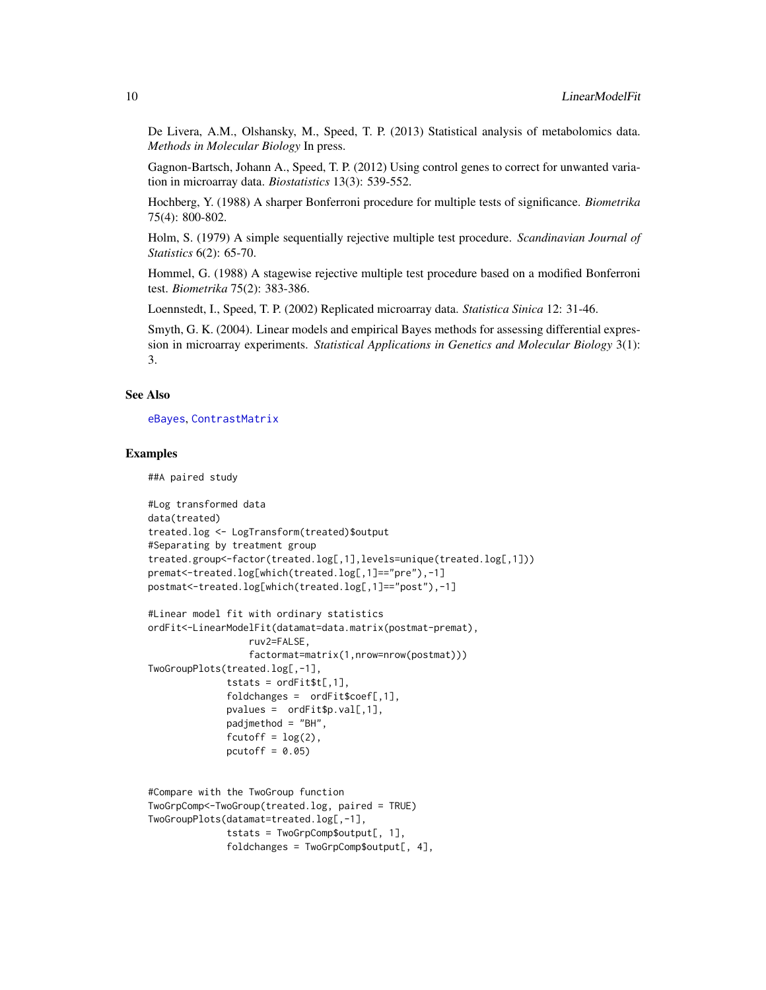<span id="page-9-0"></span>De Livera, A.M., Olshansky, M., Speed, T. P. (2013) Statistical analysis of metabolomics data. *Methods in Molecular Biology* In press.

Gagnon-Bartsch, Johann A., Speed, T. P. (2012) Using control genes to correct for unwanted variation in microarray data. *Biostatistics* 13(3): 539-552.

Hochberg, Y. (1988) A sharper Bonferroni procedure for multiple tests of significance. *Biometrika* 75(4): 800-802.

Holm, S. (1979) A simple sequentially rejective multiple test procedure. *Scandinavian Journal of Statistics* 6(2): 65-70.

Hommel, G. (1988) A stagewise rejective multiple test procedure based on a modified Bonferroni test. *Biometrika* 75(2): 383-386.

Loennstedt, I., Speed, T. P. (2002) Replicated microarray data. *Statistica Sinica* 12: 31-46.

Smyth, G. K. (2004). Linear models and empirical Bayes methods for assessing differential expression in microarray experiments. *Statistical Applications in Genetics and Molecular Biology* 3(1): 3.

#### See Also

[eBayes](#page-0-0), [ContrastMatrix](#page-2-1)

#### Examples

##A paired study

```
#Log transformed data
data(treated)
treated.log <- LogTransform(treated)$output
#Separating by treatment group
treated.group<-factor(treated.log[,1],levels=unique(treated.log[,1]))
premat<-treated.log[which(treated.log[,1]=="pre"),-1]
postmat<-treated.log[which(treated.log[,1]=="post"),-1]
```

```
#Linear model fit with ordinary statistics
ordFit<-LinearModelFit(datamat=data.matrix(postmat-premat),
                 ruv2=FALSE,
                 factormat=matrix(1,nrow=nrow(postmat)))
TwoGroupPlots(treated.log[,-1],
              tstats = ordFit$t[,1],foldchanges = ordFit$coef[,1],
             pvalues = ordFit$p.val[,1],
             padjmethod = "BH",
             fcutoff = log(2),
             pcutoff = 0.05)
```

```
#Compare with the TwoGroup function
TwoGrpComp<-TwoGroup(treated.log, paired = TRUE)
TwoGroupPlots(datamat=treated.log[,-1],
              tstats = TwoGrpComp$output[, 1],
             foldchanges = TwoGrpComp$output[, 4],
```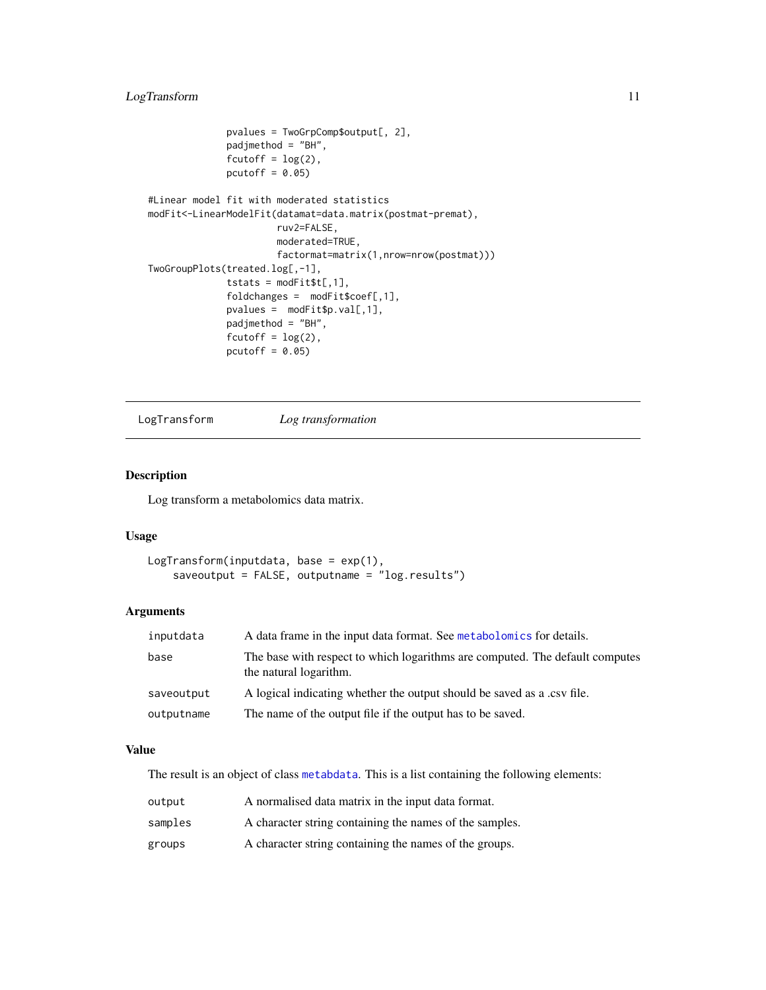```
pvalues = TwoGrpComp$output[, 2],
             padjmethod = "BH",
              fcutoff = log(2),
             pcutoff = 0.05)
#Linear model fit with moderated statistics
modFit<-LinearModelFit(datamat=data.matrix(postmat-premat),
                       ruv2=FALSE,
                       moderated=TRUE,
                       factormat=matrix(1,nrow=nrow(postmat)))
TwoGroupPlots(treated.log[,-1],
              tstats = modFit$t[, 1],fold changes = modFit% coeff[, 1],pvalues = modFit$p.val[,1],
             padjmethod = "BH",
              fcutoff = log(2),
             pcutoff = 0.05)
```
<span id="page-10-1"></span>LogTransform *Log transformation*

## Description

Log transform a metabolomics data matrix.

## Usage

```
LogTransform(inputdata, base = exp(1),
    saveoutput = FALSE, outputname = "log.results")
```
## Arguments

| inputdata  | A data frame in the input data format. See metabolomics for details.                                   |
|------------|--------------------------------------------------------------------------------------------------------|
| base       | The base with respect to which logarithms are computed. The default computes<br>the natural logarithm. |
| saveoutput | A logical indicating whether the output should be saved as a .csv file.                                |
| outputname | The name of the output file if the output has to be saved.                                             |

## Value

The result is an object of class [metabdata](#page-0-0). This is a list containing the following elements:

| output  | A normalised data matrix in the input data format.      |
|---------|---------------------------------------------------------|
| samples | A character string containing the names of the samples. |
| groups  | A character string containing the names of the groups.  |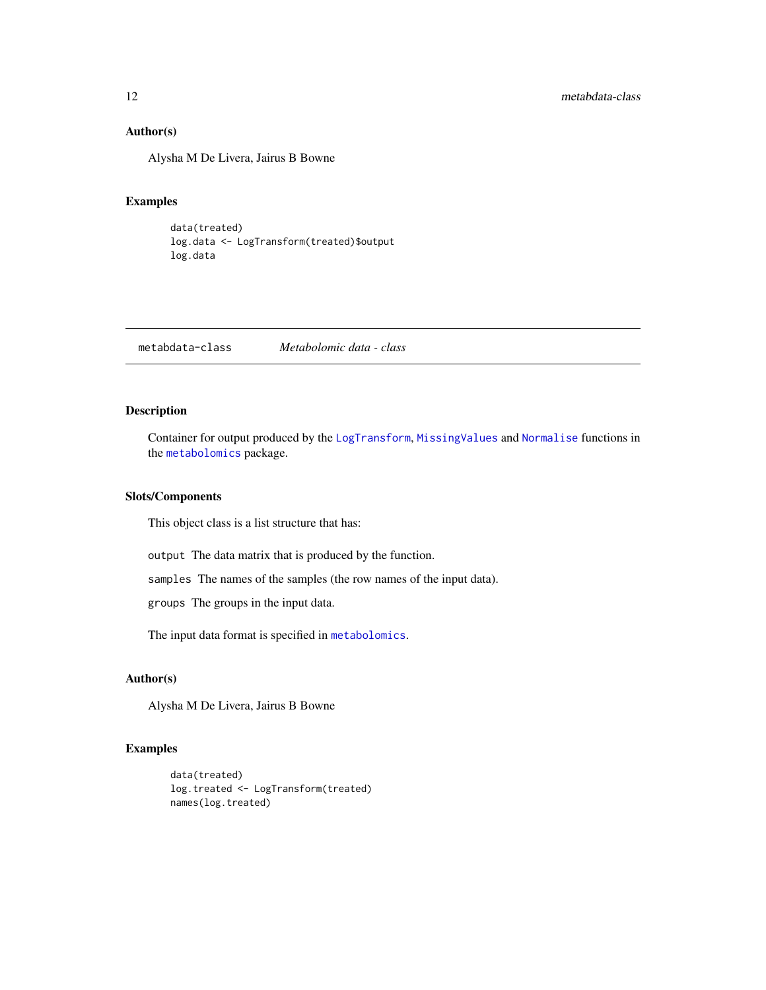## <span id="page-11-0"></span>Author(s)

Alysha M De Livera, Jairus B Bowne

#### Examples

```
data(treated)
log.data <- LogTransform(treated)$output
log.data
```
metabdata-class *Metabolomic data - class*

#### Description

Container for output produced by the [LogTransform](#page-10-1), [MissingValues](#page-13-1) and [Normalise](#page-15-1) functions in the [metabolomics](#page-1-1) package.

#### Slots/Components

This object class is a list structure that has:

output The data matrix that is produced by the function.

samples The names of the samples (the row names of the input data).

groups The groups in the input data.

The input data format is specified in [metabolomics](#page-1-1).

#### Author(s)

Alysha M De Livera, Jairus B Bowne

## Examples

```
data(treated)
log.treated <- LogTransform(treated)
names(log.treated)
```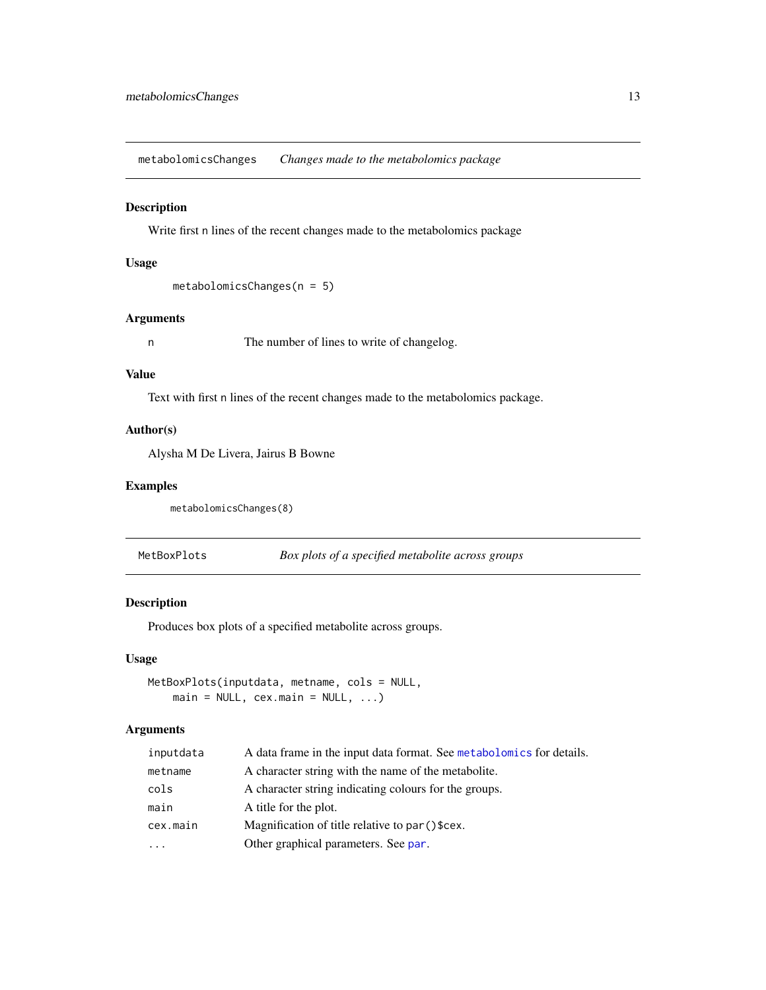<span id="page-12-0"></span>metabolomicsChanges *Changes made to the metabolomics package*

## Description

Write first n lines of the recent changes made to the metabolomics package

## Usage

```
metabolomicsChanges(n = 5)
```
## Arguments

n The number of lines to write of changelog.

## Value

Text with first n lines of the recent changes made to the metabolomics package.

## Author(s)

Alysha M De Livera, Jairus B Bowne

#### Examples

```
metabolomicsChanges(8)
```
MetBoxPlots *Box plots of a specified metabolite across groups*

## Description

Produces box plots of a specified metabolite across groups.

## Usage

```
MetBoxPlots(inputdata, metname, cols = NULL,
    main = NULL, cex.mainloop = NULL, ...)
```

| inputdata | A data frame in the input data format. See metabolomics for details. |
|-----------|----------------------------------------------------------------------|
| metname   | A character string with the name of the metabolite.                  |
| cols      | A character string indicating colours for the groups.                |
| main      | A title for the plot.                                                |
| cex.main  | Magnification of title relative to par () \$cex.                     |
| .         | Other graphical parameters. See par.                                 |
|           |                                                                      |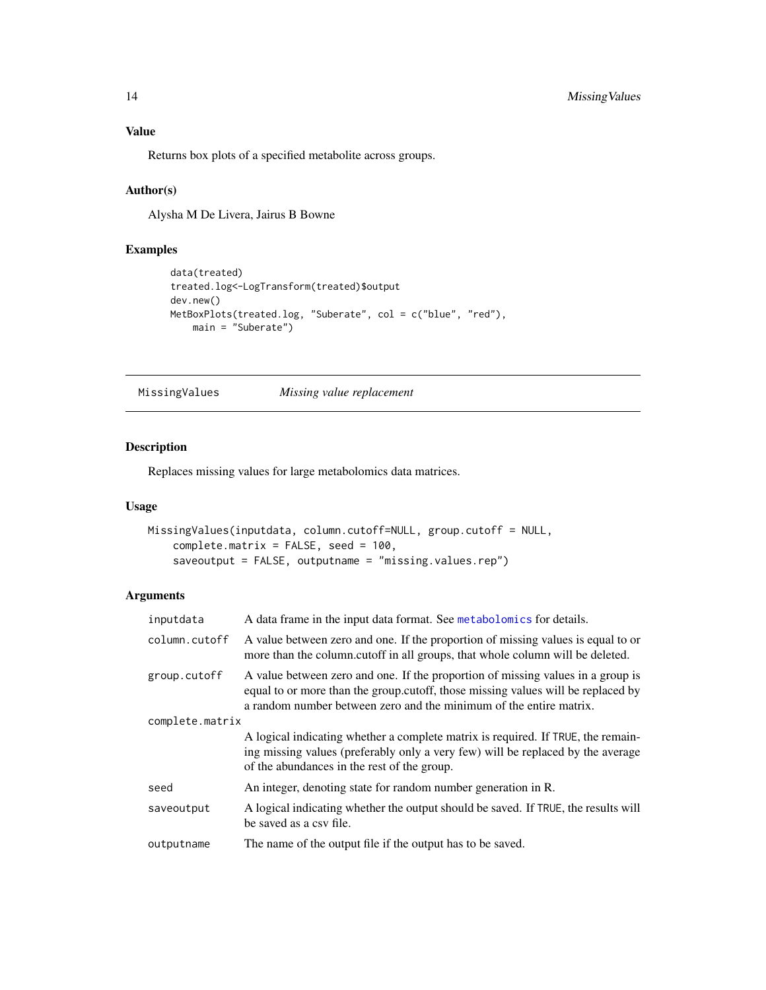## <span id="page-13-0"></span>Value

Returns box plots of a specified metabolite across groups.

## Author(s)

Alysha M De Livera, Jairus B Bowne

## Examples

```
data(treated)
treated.log<-LogTransform(treated)$output
dev.new()
MetBoxPlots(treated.log, "Suberate", col = c("blue", "red"),
   main = "Suberate")
```
<span id="page-13-1"></span>MissingValues *Missing value replacement*

## Description

Replaces missing values for large metabolomics data matrices.

## Usage

```
MissingValues(inputdata, column.cutoff=NULL, group.cutoff = NULL,
    complete.matrix = FALSE, seed = 100,saveoutput = FALSE, outputname = "missing.values.rep")
```

| inputdata       | A data frame in the input data format. See metabolomics for details.                                                                                                                                                                      |  |
|-----------------|-------------------------------------------------------------------------------------------------------------------------------------------------------------------------------------------------------------------------------------------|--|
| column.cutoff   | A value between zero and one. If the proportion of missing values is equal to or<br>more than the column.cutoff in all groups, that whole column will be deleted.                                                                         |  |
| group.cutoff    | A value between zero and one. If the proportion of missing values in a group is<br>equal to or more than the group.cutoff, those missing values will be replaced by<br>a random number between zero and the minimum of the entire matrix. |  |
| complete.matrix |                                                                                                                                                                                                                                           |  |
|                 | A logical indicating whether a complete matrix is required. If TRUE, the remain-<br>ing missing values (preferably only a very few) will be replaced by the average<br>of the abundances in the rest of the group.                        |  |
| seed            | An integer, denoting state for random number generation in R.                                                                                                                                                                             |  |
| saveoutput      | A logical indicating whether the output should be saved. If TRUE, the results will<br>be saved as a csy file.                                                                                                                             |  |
| outputname      | The name of the output file if the output has to be saved.                                                                                                                                                                                |  |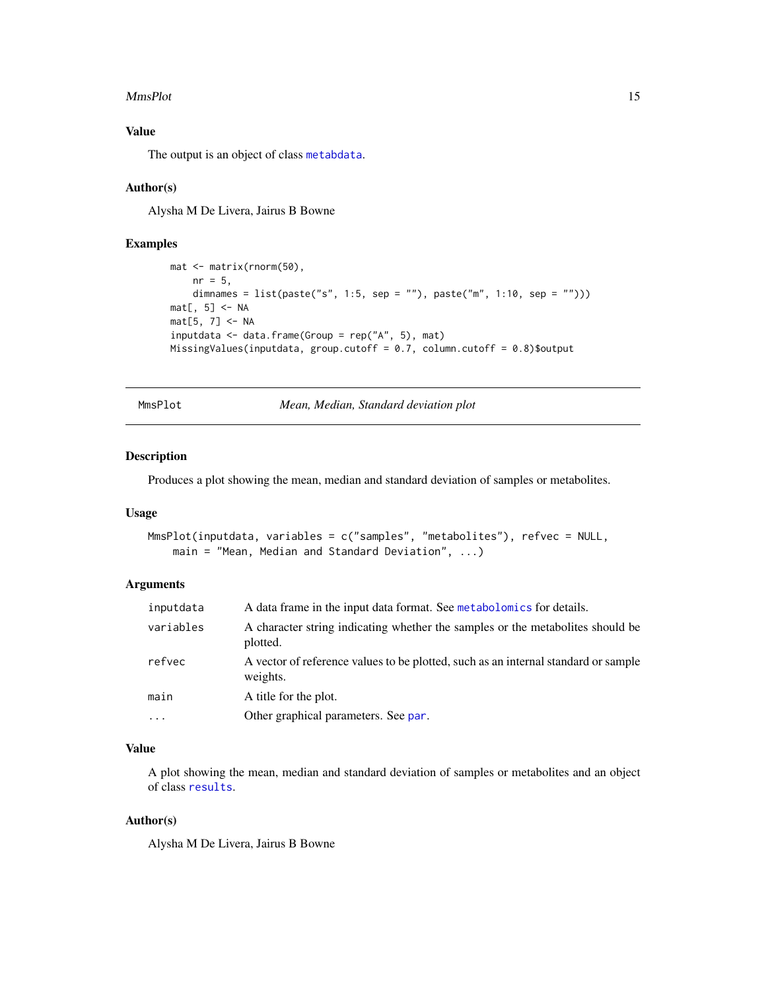#### <span id="page-14-0"></span>MmsPlot 15

## Value

The output is an object of class [metabdata](#page-0-0).

## Author(s)

Alysha M De Livera, Jairus B Bowne

## Examples

```
mat <- matrix(rnorm(50),
    nr = 5,
    dimnames = list(paste("s", 1:5, sep = ""), paste("m", 1:10, sep = "")))
mat[, 5] < -NAmat[5, 7] <- NA
inputdata <- data.frame(Group = rep("A", 5), mat)
MissingValues(inputdata, group.cutoff = 0.7, column.cutoff = 0.8)$output
```
<span id="page-14-1"></span>MmsPlot *Mean, Median, Standard deviation plot*

#### Description

Produces a plot showing the mean, median and standard deviation of samples or metabolites.

## Usage

```
MmsPlot(inputdata, variables = c("samples", "metabolites"), refvec = NULL,
   main = "Mean, Median and Standard Deviation", ...)
```
## Arguments

| inputdata | A data frame in the input data format. See metabolomics for details.                           |
|-----------|------------------------------------------------------------------------------------------------|
| variables | A character string indicating whether the samples or the metabolities should be<br>plotted.    |
| refvec    | A vector of reference values to be plotted, such as an internal standard or sample<br>weights. |
| main      | A title for the plot.                                                                          |
| $\cdot$   | Other graphical parameters. See par.                                                           |

## Value

A plot showing the mean, median and standard deviation of samples or metabolites and an object of class [results](#page-0-0).

## Author(s)

Alysha M De Livera, Jairus B Bowne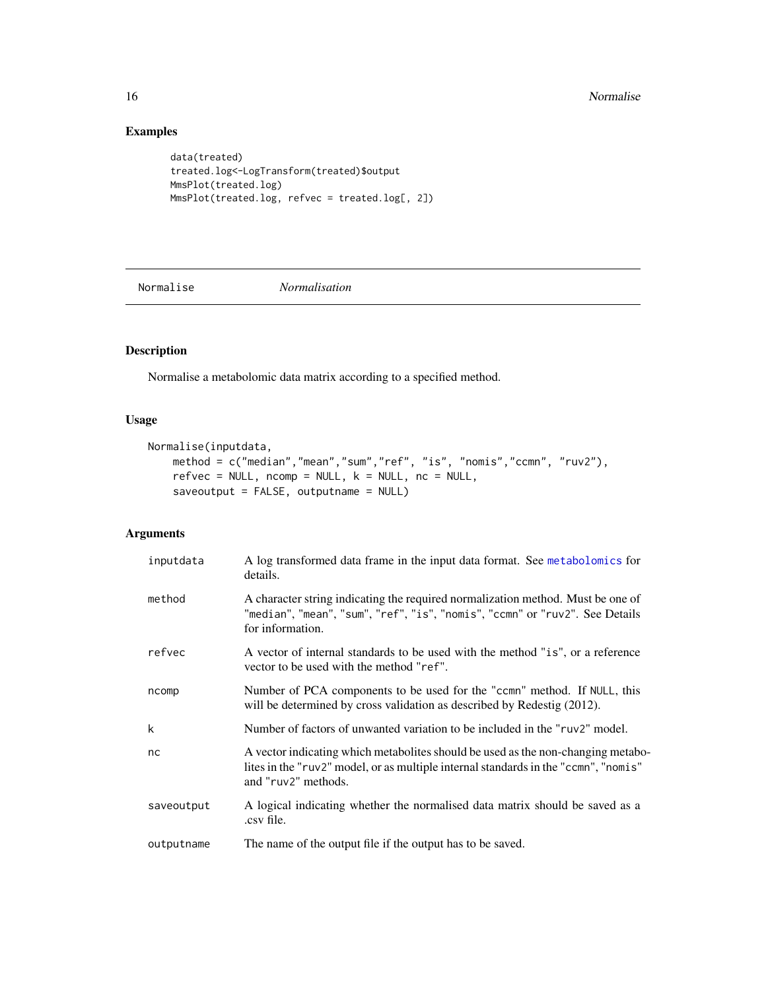## Examples

```
data(treated)
treated.log<-LogTransform(treated)$output
MmsPlot(treated.log)
MmsPlot(treated.log, refvec = treated.log[, 2])
```
<span id="page-15-1"></span>Normalise *Normalisation*

## Description

Normalise a metabolomic data matrix according to a specified method.

## Usage

```
Normalise(inputdata,
   method = c("median","mean","sum","ref", "is", "nomis","ccmn", "ruv2"),
   refvec = NULL, ncomp = NULL, k = NULL, nc = NULL,saveoutput = FALSE, outputname = NULL)
```

| inputdata  | A log transformed data frame in the input data format. See metabolomics for<br>details.                                                                                                        |
|------------|------------------------------------------------------------------------------------------------------------------------------------------------------------------------------------------------|
| method     | A character string indicating the required normalization method. Must be one of<br>"median", "mean", "sum", "ref", "is", "nomis", "ccmn" or "ruv2". See Details<br>for information.            |
| refvec     | A vector of internal standards to be used with the method "is", or a reference<br>vector to be used with the method "ref".                                                                     |
| ncomp      | Number of PCA components to be used for the "comn" method. If NULL, this<br>will be determined by cross validation as described by Redestig (2012).                                            |
| k          | Number of factors of unwanted variation to be included in the "ruv2" model.                                                                                                                    |
| nc         | A vector indicating which metabolites should be used as the non-changing metabo-<br>lites in the "ruv2" model, or as multiple internal standards in the "ccmn", "nomis"<br>and "ruv2" methods. |
| saveoutput | A logical indicating whether the normalised data matrix should be saved as a<br>.csv file.                                                                                                     |
| outputname | The name of the output file if the output has to be saved.                                                                                                                                     |

<span id="page-15-0"></span>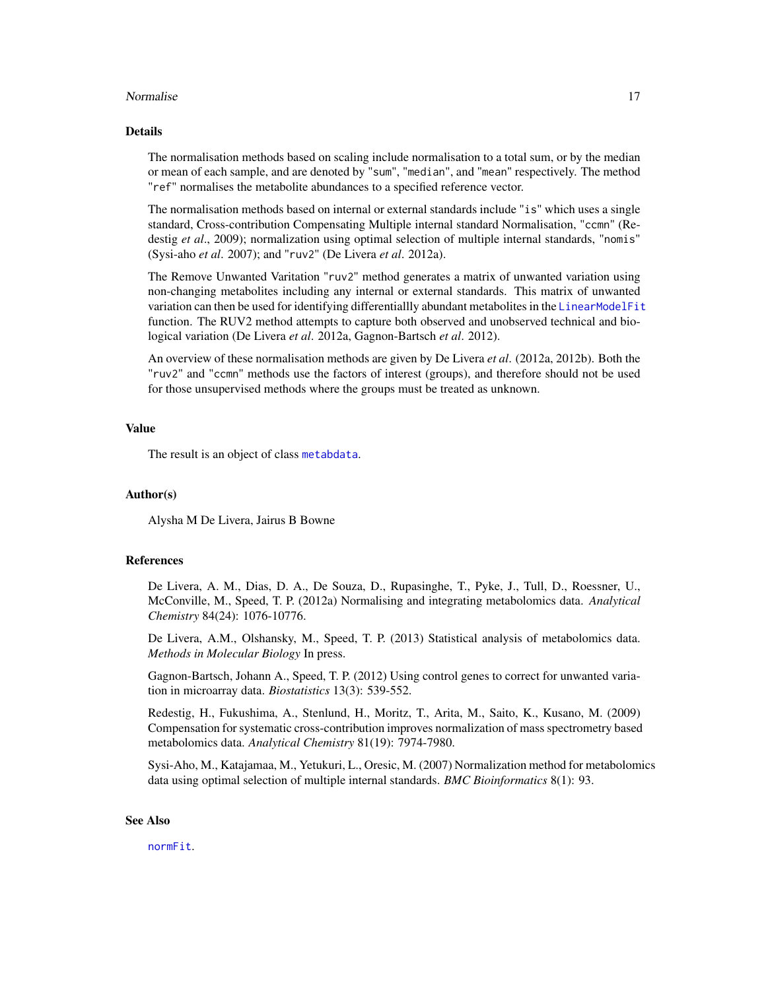#### <span id="page-16-0"></span>Normalise the contract of the contract of the contract of the contract of the contract of the contract of the contract of the contract of the contract of the contract of the contract of the contract of the contract of the

#### Details

The normalisation methods based on scaling include normalisation to a total sum, or by the median or mean of each sample, and are denoted by "sum", "median", and "mean" respectively. The method "ref" normalises the metabolite abundances to a specified reference vector.

The normalisation methods based on internal or external standards include "is" which uses a single standard, Cross-contribution Compensating Multiple internal standard Normalisation, "ccmn" (Redestig *et al.*, 2009); normalization using optimal selection of multiple internal standards, "nomis" (Sysi-aho *et al*. 2007); and "ruv2" (De Livera *et al*. 2012a).

The Remove Unwanted Varitation "ruv2" method generates a matrix of unwanted variation using non-changing metabolites including any internal or external standards. This matrix of unwanted variation can then be used for identifying differentiallly abundant metabolites in the [LinearModelFit](#page-7-1) function. The RUV2 method attempts to capture both observed and unobserved technical and biological variation (De Livera *et al*. 2012a, Gagnon-Bartsch *et al*. 2012).

An overview of these normalisation methods are given by De Livera *et al*. (2012a, 2012b). Both the "ruv2" and "ccmn" methods use the factors of interest (groups), and therefore should not be used for those unsupervised methods where the groups must be treated as unknown.

#### Value

The result is an object of class [metabdata](#page-0-0).

#### Author(s)

Alysha M De Livera, Jairus B Bowne

#### References

De Livera, A. M., Dias, D. A., De Souza, D., Rupasinghe, T., Pyke, J., Tull, D., Roessner, U., McConville, M., Speed, T. P. (2012a) Normalising and integrating metabolomics data. *Analytical Chemistry* 84(24): 1076-10776.

De Livera, A.M., Olshansky, M., Speed, T. P. (2013) Statistical analysis of metabolomics data. *Methods in Molecular Biology* In press.

Gagnon-Bartsch, Johann A., Speed, T. P. (2012) Using control genes to correct for unwanted variation in microarray data. *Biostatistics* 13(3): 539-552.

Redestig, H., Fukushima, A., Stenlund, H., Moritz, T., Arita, M., Saito, K., Kusano, M. (2009) Compensation for systematic cross-contribution improves normalization of mass spectrometry based metabolomics data. *Analytical Chemistry* 81(19): 7974-7980.

Sysi-Aho, M., Katajamaa, M., Yetukuri, L., Oresic, M. (2007) Normalization method for metabolomics data using optimal selection of multiple internal standards. *BMC Bioinformatics* 8(1): 93.

#### See Also

[normFit](#page-0-0).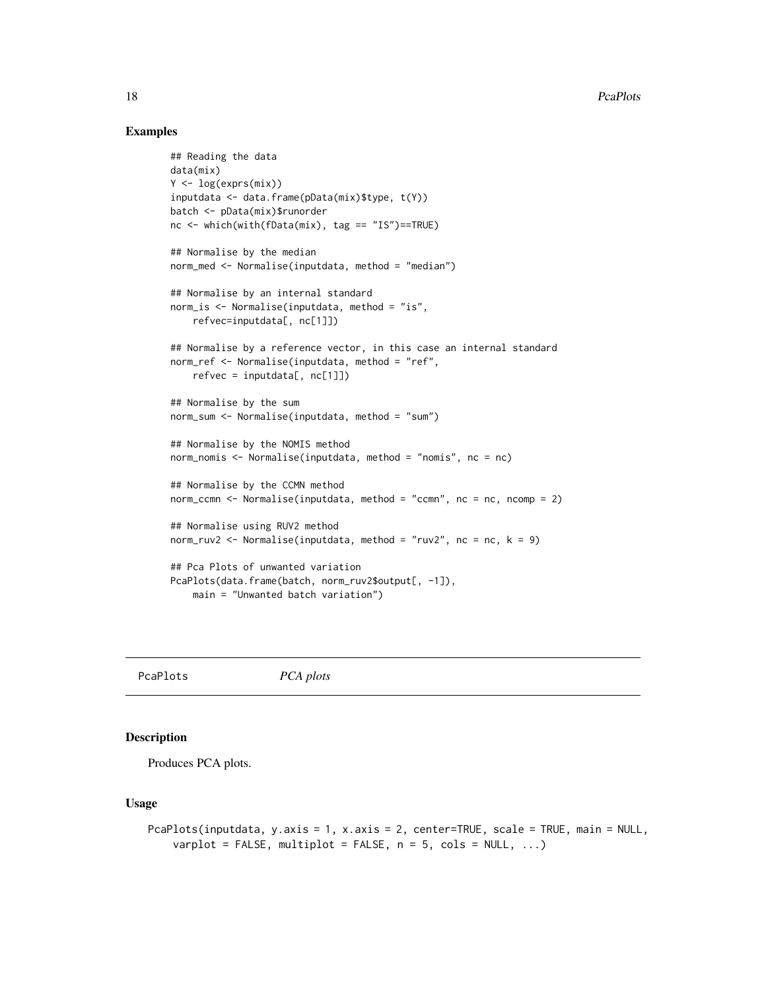## Examples

```
## Reading the data
data(mix)
Y <- log(exprs(mix))
inputdata <- data.frame(pData(mix)$type, t(Y))
batch <- pData(mix)$runorder
nc <- which(with(fData(mix), tag == "IS")==TRUE)
## Normalise by the median
norm_med <- Normalise(inputdata, method = "median")
## Normalise by an internal standard
norm_is <- Normalise(inputdata, method = "is",
    refvec=inputdata[, nc[1]])
## Normalise by a reference vector, in this case an internal standard
norm_ref <- Normalise(inputdata, method = "ref",
    refvec = inputdata[, nc[1]]## Normalise by the sum
norm_sum <- Normalise(inputdata, method = "sum")
## Normalise by the NOMIS method
norm_nomis <- Normalise(inputdata, method = "nomis", nc = nc)
## Normalise by the CCMN method
norm_ccmn <- Normalise(inputdata, method = "ccmn", nc = nc, ncomp = 2)
## Normalise using RUV2 method
norm_ruv2 <- Normalise(inputdata, method = "ruv2", nc = nc, k = 9)
## Pca Plots of unwanted variation
PcaPlots(data.frame(batch, norm_ruv2$output[, -1]),
   main = "Unwanted batch variation")
```
PcaPlots *PCA plots*

#### Description

Produces PCA plots.

## Usage

```
PcaPlots(inputdata, y.axis = 1, x.axis = 2, center=TRUE, scale = TRUE, main = NULL,
    varplot = FALSE, multiplot = FALSE, n = 5, cols = NULL, ...)
```
<span id="page-17-0"></span>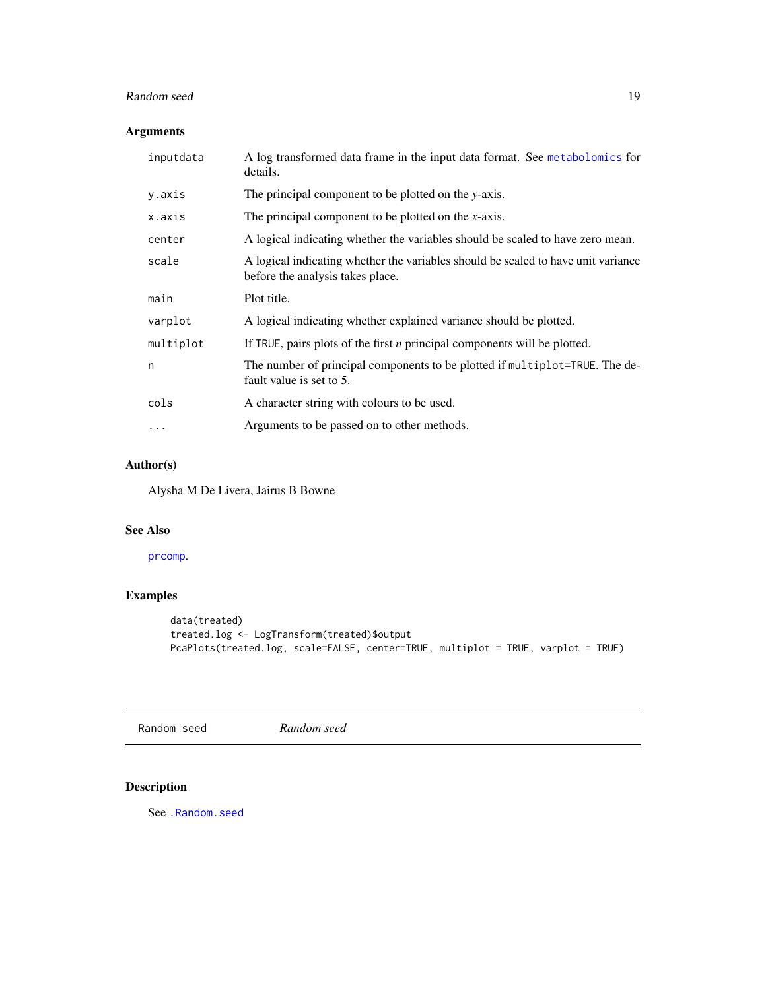## <span id="page-18-0"></span>Random seed 19

## Arguments

| inputdata | A log transformed data frame in the input data format. See metabolomics for<br>details.                               |
|-----------|-----------------------------------------------------------------------------------------------------------------------|
| y.axis    | The principal component to be plotted on the y-axis.                                                                  |
| x.axis    | The principal component to be plotted on the x-axis.                                                                  |
| center    | A logical indicating whether the variables should be scaled to have zero mean.                                        |
| scale     | A logical indicating whether the variables should be scaled to have unit variance<br>before the analysis takes place. |
| main      | Plot title.                                                                                                           |
| varplot   | A logical indicating whether explained variance should be plotted.                                                    |
| multiplot | If TRUE, pairs plots of the first $n$ principal components will be plotted.                                           |
| n         | The number of principal components to be plotted if multiplot=TRUE. The de-<br>fault value is set to 5.               |
| cols      | A character string with colours to be used.                                                                           |
| $\cdots$  | Arguments to be passed on to other methods.                                                                           |

## Author(s)

Alysha M De Livera, Jairus B Bowne

## See Also

## [prcomp](#page-0-0).

## Examples

```
data(treated)
treated.log <- LogTransform(treated)$output
PcaPlots(treated.log, scale=FALSE, center=TRUE, multiplot = TRUE, varplot = TRUE)
```
Random seed *Random seed*

## <span id="page-18-1"></span>Description

See [.Random.seed](#page-18-1)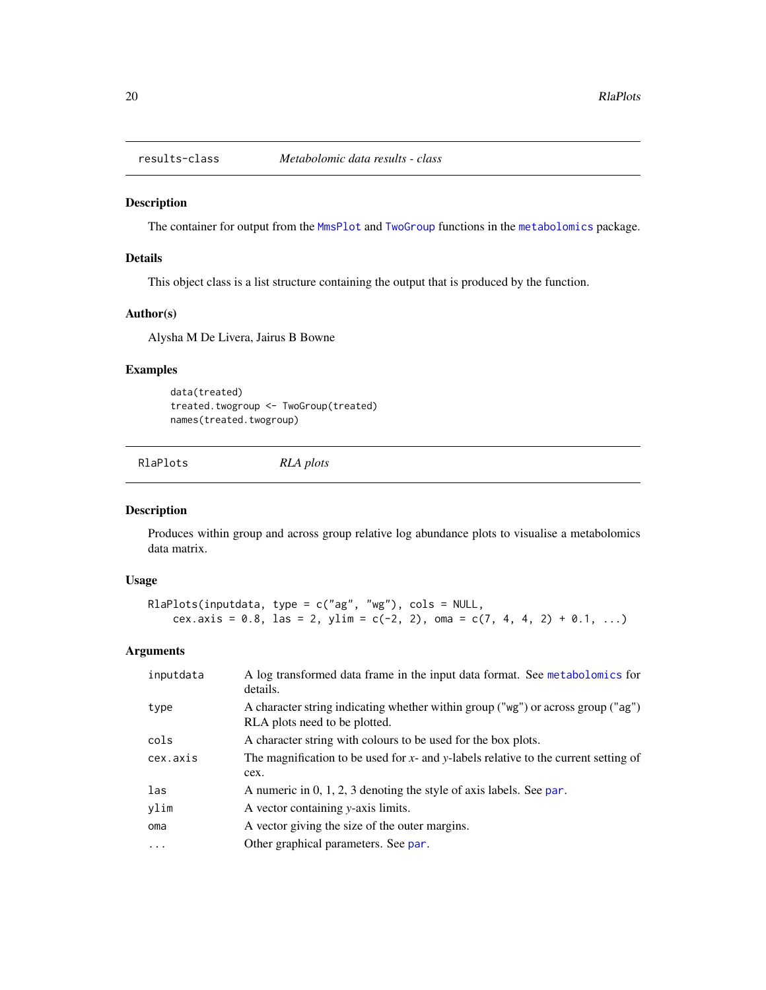<span id="page-19-0"></span>

## Description

The container for output from the [MmsPlot](#page-14-1) and [TwoGroup](#page-22-1) functions in the [metabolomics](#page-1-1) package.

## Details

This object class is a list structure containing the output that is produced by the function.

#### Author(s)

Alysha M De Livera, Jairus B Bowne

## Examples

data(treated) treated.twogroup <- TwoGroup(treated) names(treated.twogroup)

RlaPlots *RLA plots*

#### Description

Produces within group and across group relative log abundance plots to visualise a metabolomics data matrix.

#### Usage

```
RlaPlots(inputdata, type = c("ag", "wg"), cols = NULL,
    cex.axis = 0.8, las = 2, ylim = c(-2, 2), oma = c(7, 4, 4, 2) + 0.1, ...)
```

| inputdata | A log transformed data frame in the input data format. See metabolomics for<br>details.                           |
|-----------|-------------------------------------------------------------------------------------------------------------------|
| type      | A character string indicating whether within group ("wg") or across group ("ag")<br>RLA plots need to be plotted. |
| cols      | A character string with colours to be used for the box plots.                                                     |
| cex.axis  | The magnification to be used for $x$ - and $y$ -labels relative to the current setting of                         |
|           | cex.                                                                                                              |
| las       | A numeric in $0, 1, 2, 3$ denoting the style of axis labels. See par.                                             |
| ylim      | A vector containing y-axis limits.                                                                                |
| oma       | A vector giving the size of the outer margins.                                                                    |
| $\cdots$  | Other graphical parameters. See par.                                                                              |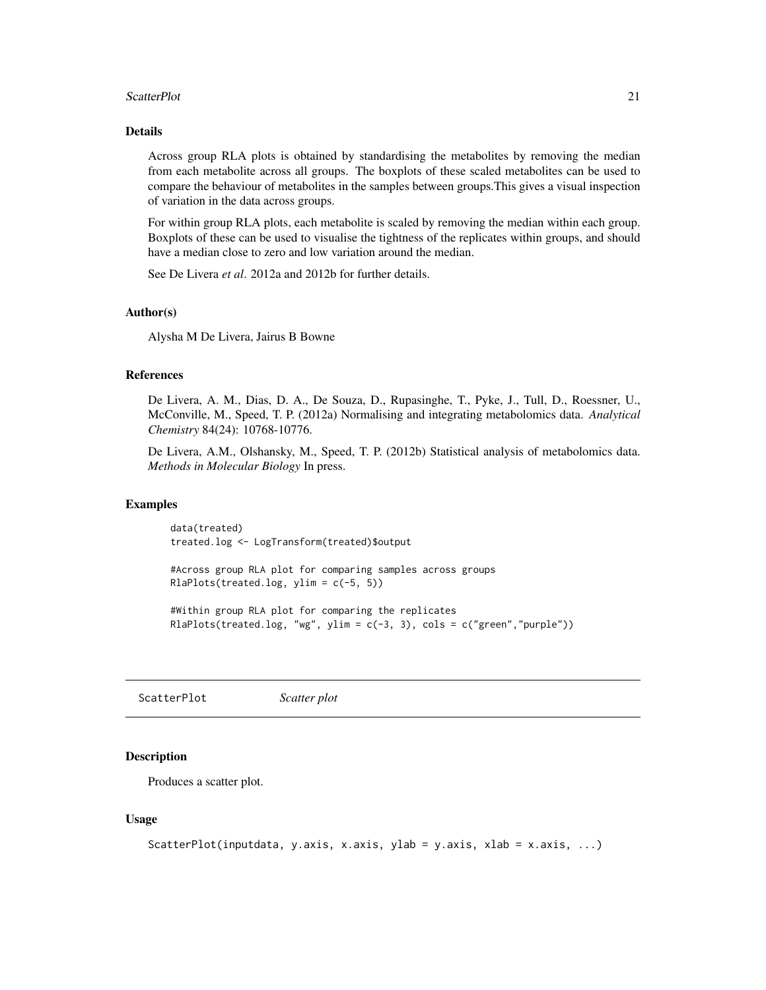#### <span id="page-20-0"></span>ScatterPlot 21

## Details

Across group RLA plots is obtained by standardising the metabolites by removing the median from each metabolite across all groups. The boxplots of these scaled metabolites can be used to compare the behaviour of metabolites in the samples between groups.This gives a visual inspection of variation in the data across groups.

For within group RLA plots, each metabolite is scaled by removing the median within each group. Boxplots of these can be used to visualise the tightness of the replicates within groups, and should have a median close to zero and low variation around the median.

See De Livera *et al*. 2012a and 2012b for further details.

#### Author(s)

Alysha M De Livera, Jairus B Bowne

#### References

De Livera, A. M., Dias, D. A., De Souza, D., Rupasinghe, T., Pyke, J., Tull, D., Roessner, U., McConville, M., Speed, T. P. (2012a) Normalising and integrating metabolomics data. *Analytical Chemistry* 84(24): 10768-10776.

De Livera, A.M., Olshansky, M., Speed, T. P. (2012b) Statistical analysis of metabolomics data. *Methods in Molecular Biology* In press.

#### Examples

data(treated) treated.log <- LogTransform(treated)\$output

#Across group RLA plot for comparing samples across groups RlaPlots(treated.log, ylim =  $c(-5, 5)$ )

#Within group RLA plot for comparing the replicates RlaPlots(treated.log, "wg", ylim = c(-3, 3), cols = c("green","purple"))

ScatterPlot *Scatter plot*

## **Description**

Produces a scatter plot.

#### Usage

```
ScatterPlot(inputdata, y.axis, x.axis, ylab = y.axis, xlab = x.axis, ...)
```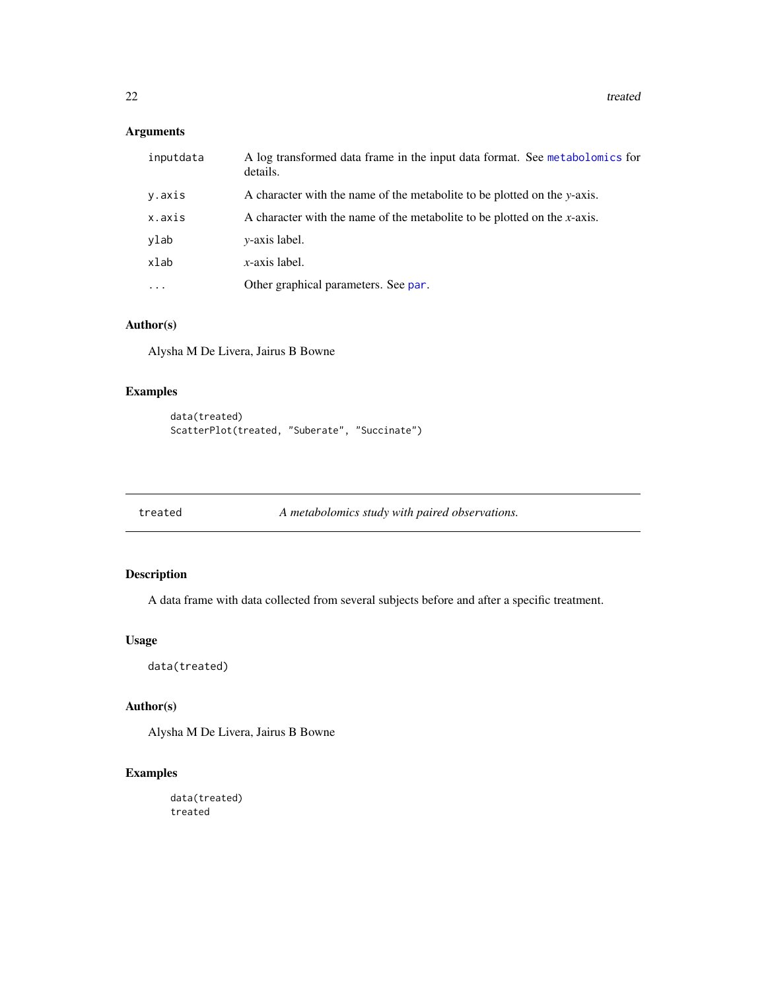<span id="page-21-0"></span>22 treated the control of the control of the control of the control of the control of the control of the control of the control of the control of the control of the control of the control of the control of the control of t

## Arguments

| inputdata | A log transformed data frame in the input data format. See metabolomics for<br>details. |
|-----------|-----------------------------------------------------------------------------------------|
| y.axis    | A character with the name of the metabolite to be plotted on the y-axis.                |
| x.axis    | A character with the name of the metabolite to be plotted on the $x$ -axis.             |
| ylab      | <i>v</i> -axis label.                                                                   |
| xlab      | $x$ -axis label.                                                                        |
| .         | Other graphical parameters. See par.                                                    |

## Author(s)

Alysha M De Livera, Jairus B Bowne

## Examples

```
data(treated)
ScatterPlot(treated, "Suberate", "Succinate")
```
treated *A metabolomics study with paired observations.*

## Description

A data frame with data collected from several subjects before and after a specific treatment.

## Usage

data(treated)

## Author(s)

Alysha M De Livera, Jairus B Bowne

## Examples

data(treated) treated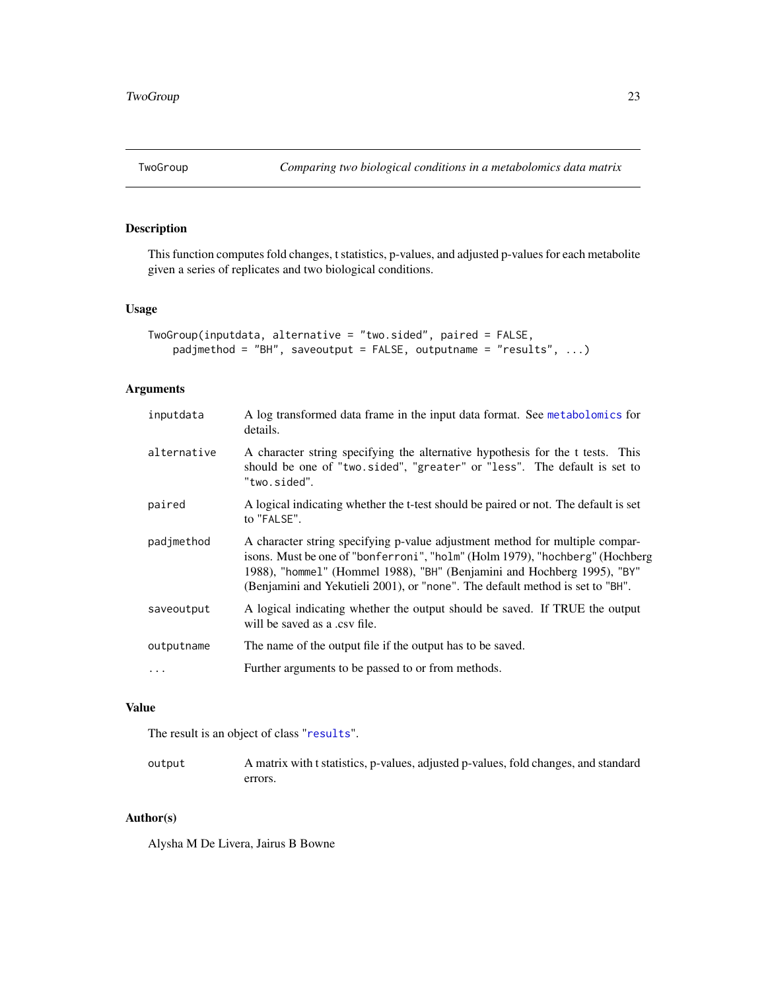<span id="page-22-1"></span><span id="page-22-0"></span>

## Description

This function computes fold changes, t statistics, p-values, and adjusted p-values for each metabolite given a series of replicates and two biological conditions.

#### Usage

```
TwoGroup(inputdata, alternative = "two.sided", paired = FALSE,
   padjmethod = "BH", saveoutput = FALSE, outputname = "results", ...)
```
## Arguments

| inputdata   | A log transformed data frame in the input data format. See metabolomics for<br>details.                                                                                                                                                                                                                                  |
|-------------|--------------------------------------------------------------------------------------------------------------------------------------------------------------------------------------------------------------------------------------------------------------------------------------------------------------------------|
| alternative | A character string specifying the alternative hypothesis for the t tests. This<br>should be one of "two.sided", "greater" or "less". The default is set to<br>"two.sided".                                                                                                                                               |
| paired      | A logical indicating whether the t-test should be paired or not. The default is set<br>to "FALSE".                                                                                                                                                                                                                       |
| padjmethod  | A character string specifying p-value adjustment method for multiple compar-<br>isons. Must be one of "bonferroni", "holm" (Holm 1979), "hochberg" (Hochberg<br>1988), "hommel" (Hommel 1988), "BH" (Benjamini and Hochberg 1995), "BY"<br>(Benjamini and Yekutieli 2001), or "none". The default method is set to "BH". |
| saveoutput  | A logical indicating whether the output should be saved. If TRUE the output<br>will be saved as a .csv file.                                                                                                                                                                                                             |
| outputname  | The name of the output file if the output has to be saved.                                                                                                                                                                                                                                                               |
|             | Further arguments to be passed to or from methods.                                                                                                                                                                                                                                                                       |

## Value

The result is an object of class "[results](#page-0-0)".

| output | A matrix with t statistics, p-values, adjusted p-values, fold changes, and standard |
|--------|-------------------------------------------------------------------------------------|
|        | errors.                                                                             |

## Author(s)

Alysha M De Livera, Jairus B Bowne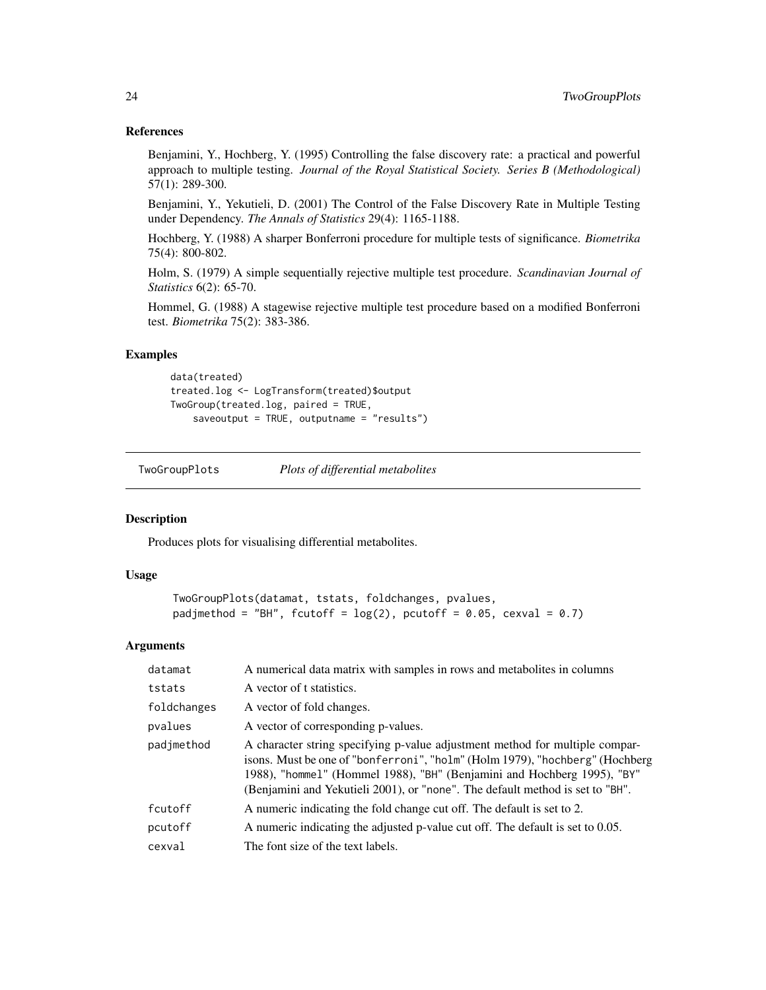#### References

Benjamini, Y., Hochberg, Y. (1995) Controlling the false discovery rate: a practical and powerful approach to multiple testing. *Journal of the Royal Statistical Society. Series B (Methodological)* 57(1): 289-300.

Benjamini, Y., Yekutieli, D. (2001) The Control of the False Discovery Rate in Multiple Testing under Dependency. *The Annals of Statistics* 29(4): 1165-1188.

Hochberg, Y. (1988) A sharper Bonferroni procedure for multiple tests of significance. *Biometrika* 75(4): 800-802.

Holm, S. (1979) A simple sequentially rejective multiple test procedure. *Scandinavian Journal of Statistics* 6(2): 65-70.

Hommel, G. (1988) A stagewise rejective multiple test procedure based on a modified Bonferroni test. *Biometrika* 75(2): 383-386.

#### Examples

```
data(treated)
treated.log <- LogTransform(treated)$output
TwoGroup(treated.log, paired = TRUE,
   saveoutput = TRUE, outputname = "results")
```
<span id="page-23-1"></span>TwoGroupPlots *Plots of differential metabolites*

#### Description

Produces plots for visualising differential metabolites.

#### Usage

```
TwoGroupPlots(datamat, tstats, foldchanges, pvalues,
padjmethod = "BH", fcutoff = log(2), pcutoff = 0.05, cexval = 0.7)
```

| datamat     | A numerical data matrix with samples in rows and metabolites in columns                                                                                                                                                                                                                                                  |
|-------------|--------------------------------------------------------------------------------------------------------------------------------------------------------------------------------------------------------------------------------------------------------------------------------------------------------------------------|
| tstats      | A vector of t statistics.                                                                                                                                                                                                                                                                                                |
| foldchanges | A vector of fold changes.                                                                                                                                                                                                                                                                                                |
| pvalues     | A vector of corresponding p-values.                                                                                                                                                                                                                                                                                      |
| padjmethod  | A character string specifying p-value adjustment method for multiple compar-<br>isons. Must be one of "bonferroni", "holm" (Holm 1979), "hochberg" (Hochberg<br>1988), "hommel" (Hommel 1988), "BH" (Benjamini and Hochberg 1995), "BY"<br>(Benjamini and Yekutieli 2001), or "none". The default method is set to "BH". |
| fcutoff     | A numeric indicating the fold change cut off. The default is set to 2.                                                                                                                                                                                                                                                   |
| pcutoff     | A numeric indicating the adjusted p-value cut off. The default is set to 0.05.                                                                                                                                                                                                                                           |
| cexval      | The font size of the text labels.                                                                                                                                                                                                                                                                                        |

<span id="page-23-0"></span>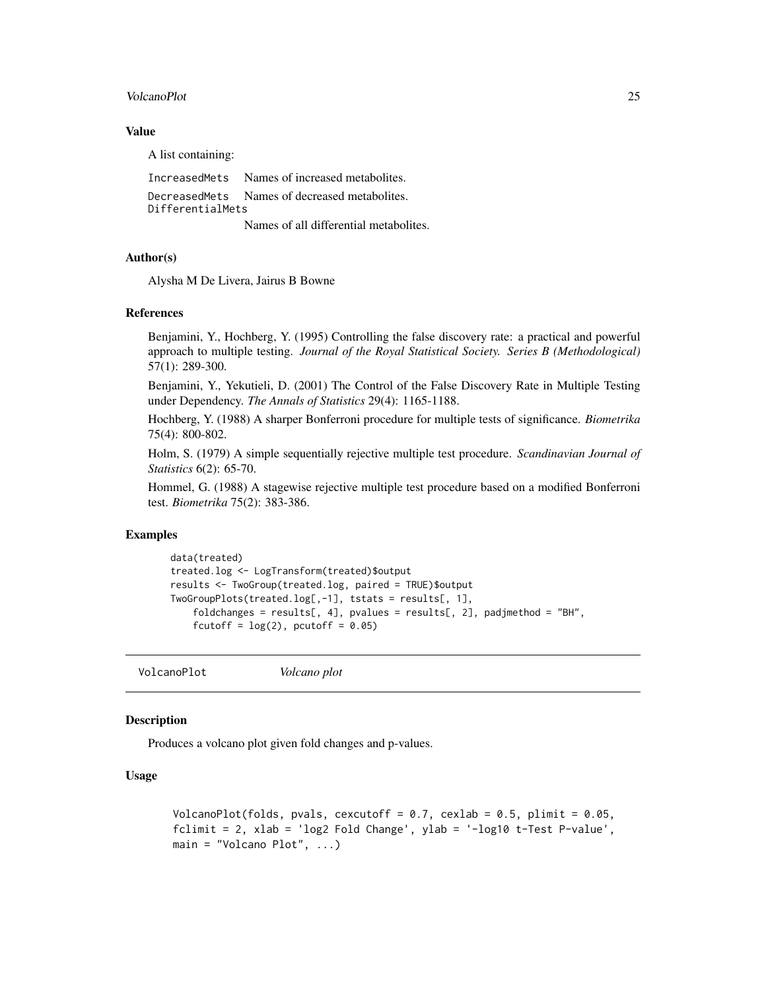#### <span id="page-24-0"></span>VolcanoPlot 25

## Value

A list containing:

IncreasedMets Names of increased metabolites. DecreasedMets Names of decreased metabolites. DifferentialMets Names of all differential metabolites.

#### Author(s)

Alysha M De Livera, Jairus B Bowne

#### References

Benjamini, Y., Hochberg, Y. (1995) Controlling the false discovery rate: a practical and powerful approach to multiple testing. *Journal of the Royal Statistical Society. Series B (Methodological)* 57(1): 289-300.

Benjamini, Y., Yekutieli, D. (2001) The Control of the False Discovery Rate in Multiple Testing under Dependency. *The Annals of Statistics* 29(4): 1165-1188.

Hochberg, Y. (1988) A sharper Bonferroni procedure for multiple tests of significance. *Biometrika* 75(4): 800-802.

Holm, S. (1979) A simple sequentially rejective multiple test procedure. *Scandinavian Journal of Statistics* 6(2): 65-70.

Hommel, G. (1988) A stagewise rejective multiple test procedure based on a modified Bonferroni test. *Biometrika* 75(2): 383-386.

## Examples

```
data(treated)
treated.log <- LogTransform(treated)$output
results <- TwoGroup(treated.log, paired = TRUE)$output
TwoGroupPlots(treated.log[,-1], tstats = results[, 1],
   foldchanges = results[, 4], pvalues = results[, 2], padjmethod = "BH",
    fcutoff = log(2), pcutoff = 0.05)
```
VolcanoPlot *Volcano plot*

## Description

Produces a volcano plot given fold changes and p-values.

#### Usage

```
VolcanoPlot(folds, pvals, cexcutoff = 0.7, cexlab = 0.5, plimit = 0.05,
fclimit = 2, xlab = 'log2 Fold Change', ylab = '-log10 t-Test P-value',
main = "Volcano Plot", ...)
```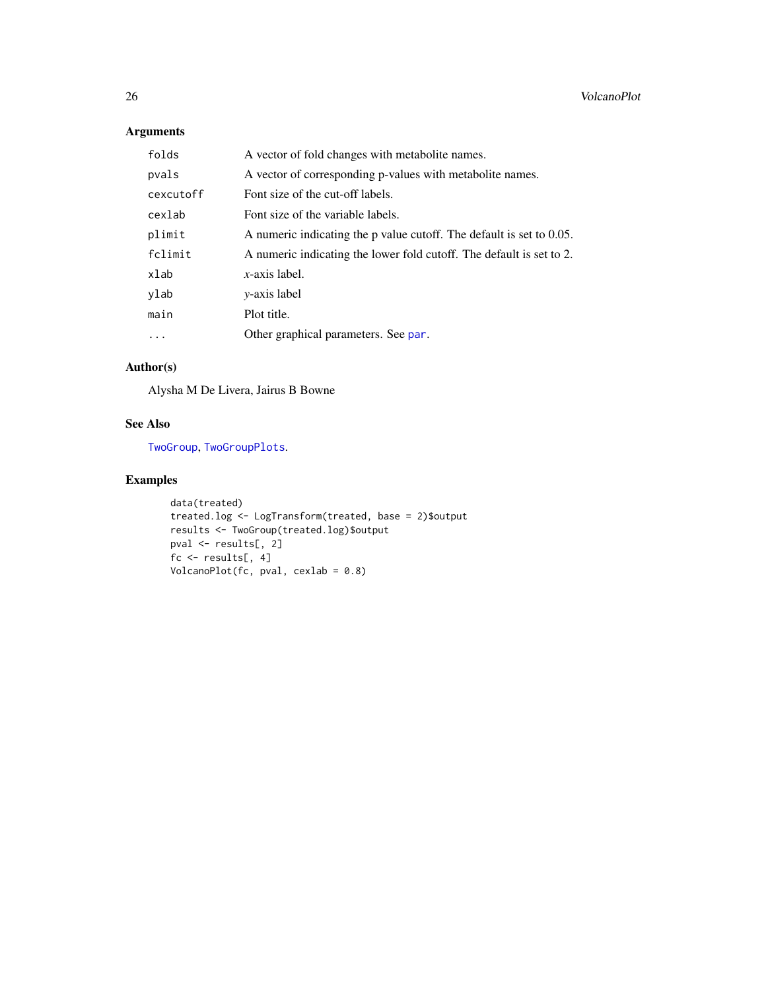## <span id="page-25-0"></span>Arguments

| folds      | A vector of fold changes with metabolite names.                      |
|------------|----------------------------------------------------------------------|
| pvals      | A vector of corresponding p-values with metabolite names.            |
| cexcutoff  | Font size of the cut-off labels.                                     |
| cexlab     | Font size of the variable labels.                                    |
| plimit     | A numeric indicating the p value cutoff. The default is set to 0.05. |
| fclimit    | A numeric indicating the lower fold cutoff. The default is set to 2. |
| xlab       | $x$ -axis label.                                                     |
| ylab       | <i>v</i> -axis label                                                 |
| main       | Plot title.                                                          |
| $\ddots$ . | Other graphical parameters. See par.                                 |

## Author(s)

Alysha M De Livera, Jairus B Bowne

## See Also

[TwoGroup](#page-22-1), [TwoGroupPlots](#page-23-1).

## Examples

```
data(treated)
treated.log <- LogTransform(treated, base = 2)$output
results <- TwoGroup(treated.log)$output
pval <- results[, 2]
fc <- results[, 4]
VolcanoPlot(fc, pval, cexlab = 0.8)
```